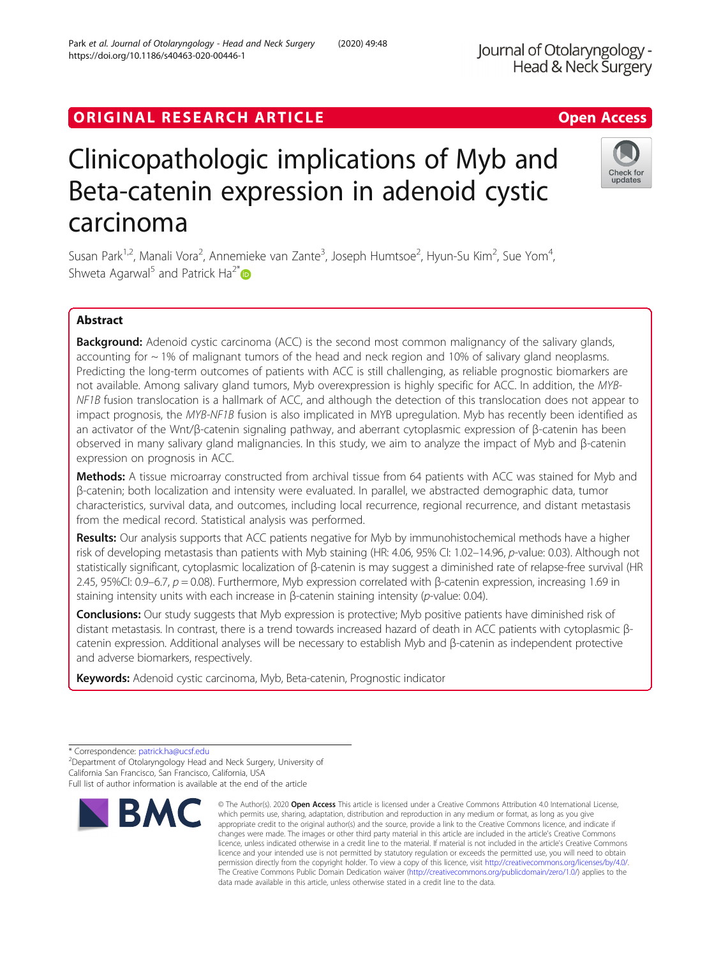# ORIGINAL RESEARCH ARTICLE **External of the Contract Contract Contract Contract Contract Contract Contract Contract Contract Contract Contract Contract Contract Contract Contract Contract Contract Contract Contract Contract**

# Clinicopathologic implications of Myb and Beta-catenin expression in adenoid cystic carcinoma

Susan Park<sup>1,2</sup>, Manali Vora<sup>2</sup>, Annemieke van Zante<sup>3</sup>, Joseph Humtsoe<sup>2</sup>, Hyun-Su Kim<sup>2</sup>, Sue Yom<sup>4</sup> , Shweta Agarwal<sup>5</sup> and Patrick Ha<sup>2\*</sup>

# Abstract

**Background:** Adenoid cystic carcinoma (ACC) is the second most common malignancy of the salivary glands, accounting for  $\sim$  1% of malignant tumors of the head and neck region and 10% of salivary gland neoplasms. Predicting the long-term outcomes of patients with ACC is still challenging, as reliable prognostic biomarkers are not available. Among salivary gland tumors, Myb overexpression is highly specific for ACC. In addition, the MYB-NF1B fusion translocation is a hallmark of ACC, and although the detection of this translocation does not appear to impact prognosis, the MYB-NF1B fusion is also implicated in MYB upregulation. Myb has recently been identified as an activator of the Wnt/β-catenin signaling pathway, and aberrant cytoplasmic expression of β-catenin has been observed in many salivary gland malignancies. In this study, we aim to analyze the impact of Myb and β-catenin expression on prognosis in ACC.

Methods: A tissue microarray constructed from archival tissue from 64 patients with ACC was stained for Myb and β-catenin; both localization and intensity were evaluated. In parallel, we abstracted demographic data, tumor characteristics, survival data, and outcomes, including local recurrence, regional recurrence, and distant metastasis from the medical record. Statistical analysis was performed.

Results: Our analysis supports that ACC patients negative for Myb by immunohistochemical methods have a higher risk of developing metastasis than patients with Myb staining (HR: 4.06, 95% CI: 1.02–14.96, p-value: 0.03). Although not statistically significant, cytoplasmic localization of β-catenin is may suggest a diminished rate of relapse-free survival (HR 2.45, 95%CI: 0.9–6.7, p = 0.08). Furthermore, Myb expression correlated with β-catenin expression, increasing 1.69 in staining intensity units with each increase in β-catenin staining intensity (p-value: 0.04).

Conclusions: Our study suggests that Myb expression is protective; Myb positive patients have diminished risk of distant metastasis. In contrast, there is a trend towards increased hazard of death in ACC patients with cytoplasmic βcatenin expression. Additional analyses will be necessary to establish Myb and β-catenin as independent protective and adverse biomarkers, respectively.

Keywords: Adenoid cystic carcinoma, Myb, Beta-catenin, Prognostic indicator

Department of Otolaryngology Head and Neck Surgery, University of California San Francisco, San Francisco, California, USA



© The Author(s), 2020 **Open Access** This article is licensed under a Creative Commons Attribution 4.0 International License, **BMC** which permits use, sharing, adaptation, distribution and reproduction in any medium or format, as long as you give appropriate credit to the original author(s) and the source, provide a link to the Creative Commons licence, and indicate if





<sup>\*</sup> Correspondence: [patrick.ha@ucsf.edu](mailto:patrick.ha@ucsf.edu) <sup>2</sup>

Full list of author information is available at the end of the article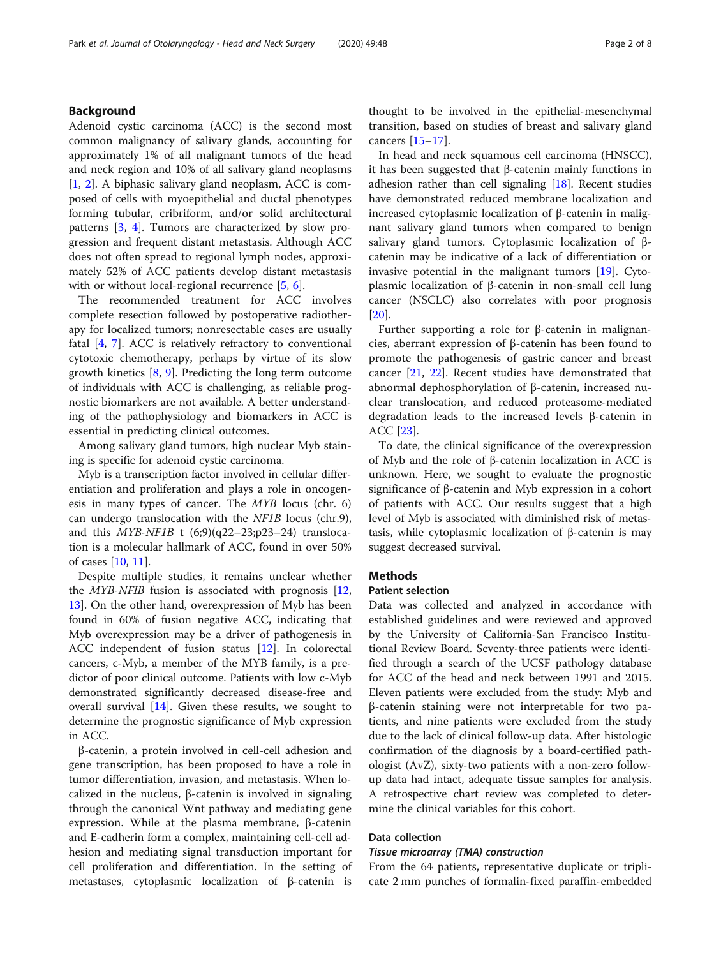## Background

Adenoid cystic carcinoma (ACC) is the second most common malignancy of salivary glands, accounting for approximately 1% of all malignant tumors of the head and neck region and 10% of all salivary gland neoplasms [[1,](#page-6-0) [2](#page-6-0)]. A biphasic salivary gland neoplasm, ACC is composed of cells with myoepithelial and ductal phenotypes forming tubular, cribriform, and/or solid architectural patterns [[3](#page-6-0), [4\]](#page-6-0). Tumors are characterized by slow progression and frequent distant metastasis. Although ACC does not often spread to regional lymph nodes, approximately 52% of ACC patients develop distant metastasis with or without local-regional recurrence [[5,](#page-6-0) [6\]](#page-6-0).

The recommended treatment for ACC involves complete resection followed by postoperative radiotherapy for localized tumors; nonresectable cases are usually fatal [\[4](#page-6-0), [7](#page-6-0)]. ACC is relatively refractory to conventional cytotoxic chemotherapy, perhaps by virtue of its slow growth kinetics [\[8](#page-6-0), [9\]](#page-6-0). Predicting the long term outcome of individuals with ACC is challenging, as reliable prognostic biomarkers are not available. A better understanding of the pathophysiology and biomarkers in ACC is essential in predicting clinical outcomes.

Among salivary gland tumors, high nuclear Myb staining is specific for adenoid cystic carcinoma.

Myb is a transcription factor involved in cellular differentiation and proliferation and plays a role in oncogenesis in many types of cancer. The MYB locus (chr. 6) can undergo translocation with the NF1B locus (chr.9), and this  $MYB-NF1B$  t  $(6,9)(q22-23,p23-24)$  translocation is a molecular hallmark of ACC, found in over 50% of cases [\[10](#page-6-0), [11](#page-6-0)].

Despite multiple studies, it remains unclear whether the MYB-NFIB fusion is associated with prognosis [[12](#page-6-0), [13\]](#page-6-0). On the other hand, overexpression of Myb has been found in 60% of fusion negative ACC, indicating that Myb overexpression may be a driver of pathogenesis in ACC independent of fusion status [[12\]](#page-6-0). In colorectal cancers, c-Myb, a member of the MYB family, is a predictor of poor clinical outcome. Patients with low c-Myb demonstrated significantly decreased disease-free and overall survival [\[14](#page-6-0)]. Given these results, we sought to determine the prognostic significance of Myb expression in ACC.

β-catenin, a protein involved in cell-cell adhesion and gene transcription, has been proposed to have a role in tumor differentiation, invasion, and metastasis. When localized in the nucleus, β-catenin is involved in signaling through the canonical Wnt pathway and mediating gene expression. While at the plasma membrane, β-catenin and E-cadherin form a complex, maintaining cell-cell adhesion and mediating signal transduction important for cell proliferation and differentiation. In the setting of metastases, cytoplasmic localization of β-catenin is

thought to be involved in the epithelial-mesenchymal transition, based on studies of breast and salivary gland cancers [\[15](#page-6-0)–[17\]](#page-6-0).

In head and neck squamous cell carcinoma (HNSCC), it has been suggested that β-catenin mainly functions in adhesion rather than cell signaling [[18\]](#page-6-0). Recent studies have demonstrated reduced membrane localization and increased cytoplasmic localization of β-catenin in malignant salivary gland tumors when compared to benign salivary gland tumors. Cytoplasmic localization of βcatenin may be indicative of a lack of differentiation or invasive potential in the malignant tumors [[19\]](#page-6-0). Cytoplasmic localization of β-catenin in non-small cell lung cancer (NSCLC) also correlates with poor prognosis [[20\]](#page-6-0).

Further supporting a role for β-catenin in malignancies, aberrant expression of β-catenin has been found to promote the pathogenesis of gastric cancer and breast cancer [[21,](#page-6-0) [22\]](#page-7-0). Recent studies have demonstrated that abnormal dephosphorylation of β-catenin, increased nuclear translocation, and reduced proteasome-mediated degradation leads to the increased levels β-catenin in ACC [\[23\]](#page-7-0).

To date, the clinical significance of the overexpression of Myb and the role of β-catenin localization in ACC is unknown. Here, we sought to evaluate the prognostic significance of β-catenin and Myb expression in a cohort of patients with ACC. Our results suggest that a high level of Myb is associated with diminished risk of metastasis, while cytoplasmic localization of β-catenin is may suggest decreased survival.

## **Methods**

#### Patient selection

Data was collected and analyzed in accordance with established guidelines and were reviewed and approved by the University of California-San Francisco Institutional Review Board. Seventy-three patients were identified through a search of the UCSF pathology database for ACC of the head and neck between 1991 and 2015. Eleven patients were excluded from the study: Myb and β-catenin staining were not interpretable for two patients, and nine patients were excluded from the study due to the lack of clinical follow-up data. After histologic confirmation of the diagnosis by a board-certified pathologist (AvZ), sixty-two patients with a non-zero followup data had intact, adequate tissue samples for analysis. A retrospective chart review was completed to determine the clinical variables for this cohort.

## Data collection

# Tissue microarray (TMA) construction

From the 64 patients, representative duplicate or triplicate 2 mm punches of formalin-fixed paraffin-embedded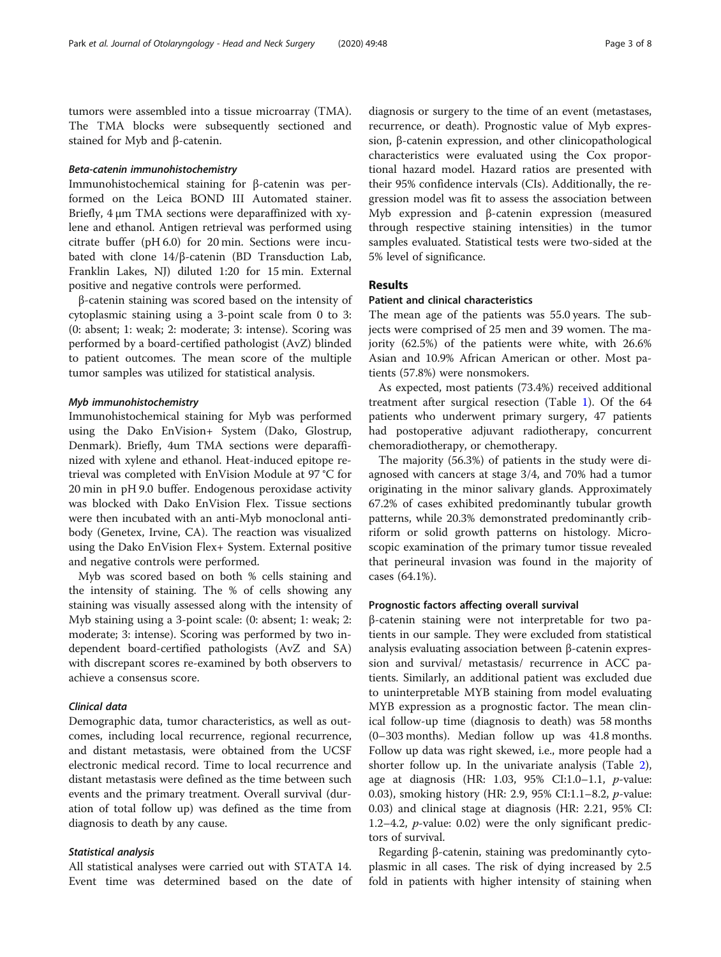tumors were assembled into a tissue microarray (TMA). The TMA blocks were subsequently sectioned and stained for Myb and β-catenin.

## Beta-catenin immunohistochemistry

Immunohistochemical staining for β-catenin was performed on the Leica BOND III Automated stainer. Briefly, 4 μm TMA sections were deparaffinized with xylene and ethanol. Antigen retrieval was performed using citrate buffer (pH 6.0) for 20 min. Sections were incubated with clone 14/β-catenin (BD Transduction Lab, Franklin Lakes, NJ) diluted 1:20 for 15 min. External positive and negative controls were performed.

β-catenin staining was scored based on the intensity of cytoplasmic staining using a 3-point scale from 0 to 3: (0: absent; 1: weak; 2: moderate; 3: intense). Scoring was performed by a board-certified pathologist (AvZ) blinded to patient outcomes. The mean score of the multiple tumor samples was utilized for statistical analysis.

## Myb immunohistochemistry

Immunohistochemical staining for Myb was performed using the Dako EnVision+ System (Dako, Glostrup, Denmark). Briefly, 4um TMA sections were deparaffinized with xylene and ethanol. Heat-induced epitope retrieval was completed with EnVision Module at 97 °C for 20 min in pH 9.0 buffer. Endogenous peroxidase activity was blocked with Dako EnVision Flex. Tissue sections were then incubated with an anti-Myb monoclonal antibody (Genetex, Irvine, CA). The reaction was visualized using the Dako EnVision Flex+ System. External positive and negative controls were performed.

Myb was scored based on both % cells staining and the intensity of staining. The % of cells showing any staining was visually assessed along with the intensity of Myb staining using a 3-point scale: (0: absent; 1: weak; 2: moderate; 3: intense). Scoring was performed by two independent board-certified pathologists (AvZ and SA) with discrepant scores re-examined by both observers to achieve a consensus score.

## Clinical data

Demographic data, tumor characteristics, as well as outcomes, including local recurrence, regional recurrence, and distant metastasis, were obtained from the UCSF electronic medical record. Time to local recurrence and distant metastasis were defined as the time between such events and the primary treatment. Overall survival (duration of total follow up) was defined as the time from diagnosis to death by any cause.

## Statistical analysis

All statistical analyses were carried out with STATA 14. Event time was determined based on the date of

diagnosis or surgery to the time of an event (metastases, recurrence, or death). Prognostic value of Myb expression, β-catenin expression, and other clinicopathological characteristics were evaluated using the Cox proportional hazard model. Hazard ratios are presented with their 95% confidence intervals (CIs). Additionally, the regression model was fit to assess the association between Myb expression and β-catenin expression (measured through respective staining intensities) in the tumor samples evaluated. Statistical tests were two-sided at the 5% level of significance.

## Results

## Patient and clinical characteristics

The mean age of the patients was 55.0 years. The subjects were comprised of 25 men and 39 women. The majority (62.5%) of the patients were white, with 26.6% Asian and 10.9% African American or other. Most patients (57.8%) were nonsmokers.

As expected, most patients (73.4%) received additional treatment after surgical resection (Table [1\)](#page-3-0). Of the 64 patients who underwent primary surgery, 47 patients had postoperative adjuvant radiotherapy, concurrent chemoradiotherapy, or chemotherapy.

The majority (56.3%) of patients in the study were diagnosed with cancers at stage 3/4, and 70% had a tumor originating in the minor salivary glands. Approximately 67.2% of cases exhibited predominantly tubular growth patterns, while 20.3% demonstrated predominantly cribriform or solid growth patterns on histology. Microscopic examination of the primary tumor tissue revealed that perineural invasion was found in the majority of cases (64.1%).

#### Prognostic factors affecting overall survival

β-catenin staining were not interpretable for two patients in our sample. They were excluded from statistical analysis evaluating association between β-catenin expression and survival/ metastasis/ recurrence in ACC patients. Similarly, an additional patient was excluded due to uninterpretable MYB staining from model evaluating MYB expression as a prognostic factor. The mean clinical follow-up time (diagnosis to death) was 58 months (0–303 months). Median follow up was 41.8 months. Follow up data was right skewed, i.e., more people had a shorter follow up. In the univariate analysis (Table [2](#page-4-0)), age at diagnosis (HR: 1.03, 95% CI:1.0–1.1,  $p$ -value: 0.03), smoking history (HR: 2.9, 95% CI:1.1–8.2, p-value: 0.03) and clinical stage at diagnosis (HR: 2.21, 95% CI: 1.2–4.2,  $p$ -value: 0.02) were the only significant predictors of survival.

Regarding β-catenin, staining was predominantly cytoplasmic in all cases. The risk of dying increased by 2.5 fold in patients with higher intensity of staining when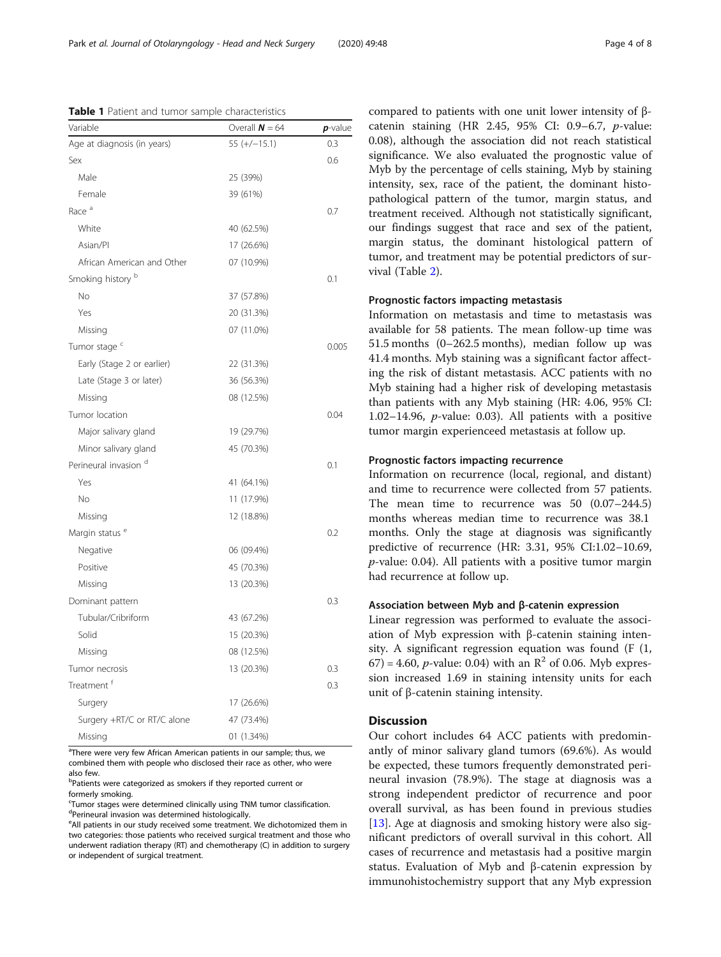<span id="page-3-0"></span>Table 1 Patient and tumor sample characteristics

| Variable                    | Overall $N = 64$ | $p$ -value |
|-----------------------------|------------------|------------|
| Age at diagnosis (in years) | $55 (+/-15.1)$   | 0.3        |
| Sex                         |                  | 0.6        |
| Male                        | 25 (39%)         |            |
| Female                      | 39 (61%)         |            |
| Race <sup>a</sup>           |                  | 0.7        |
| White                       | 40 (62.5%)       |            |
| Asian/Pl                    | 17 (26.6%)       |            |
| African American and Other  | 07 (10.9%)       |            |
| Smoking history b           |                  | 0.1        |
| <b>No</b>                   | 37 (57.8%)       |            |
| Yes                         | 20 (31.3%)       |            |
| Missing                     | 07 (11.0%)       |            |
| Tumor stage <sup>c</sup>    |                  | 0.005      |
| Early (Stage 2 or earlier)  | 22 (31.3%)       |            |
| Late (Stage 3 or later)     | 36 (56.3%)       |            |
| Missing                     | 08 (12.5%)       |            |
| Tumor location              |                  | 0.04       |
| Major salivary gland        | 19 (29.7%)       |            |
| Minor salivary gland        | 45 (70.3%)       |            |
| Perineural invasion d       |                  | 0.1        |
| Yes                         | 41 (64.1%)       |            |
| No                          | 11 (17.9%)       |            |
| Missing                     | 12 (18.8%)       |            |
| Margin status <sup>e</sup>  |                  | 0.2        |
| Negative                    | 06 (09.4%)       |            |
| Positive                    | 45 (70.3%)       |            |
| Missing                     | 13 (20.3%)       |            |
| Dominant pattern            |                  | 0.3        |
| Tubular/Cribriform          | 43 (67.2%)       |            |
| Solid                       | 15 (20.3%)       |            |
| Missing                     | 08 (12.5%)       |            |
| Tumor necrosis              | 13 (20.3%)       | 0.3        |
| Treatment <sup>f</sup>      |                  | 0.3        |
| Surgery                     | 17 (26.6%)       |            |
| Surgery +RT/C or RT/C alone | 47 (73.4%)       |            |
| Missing                     | 01 (1.34%)       |            |

<sup>a</sup>There were very few African American patients in our sample; thus, we combined them with people who disclosed their race as other, who were also few.

<sup>b</sup>Patients were categorized as smokers if they reported current or formerly smoking.

c Tumor stages were determined clinically using TNM tumor classification. d Perineural invasion was determined histologically.

<sup>e</sup>All patients in our study received some treatment. We dichotomized them in two categories: those patients who received surgical treatment and those who underwent radiation therapy (RT) and chemotherapy (C) in addition to surgery or independent of surgical treatment.

compared to patients with one unit lower intensity of βcatenin staining (HR 2.45, 95% CI: 0.9–6.7, p-value: 0.08), although the association did not reach statistical significance. We also evaluated the prognostic value of Myb by the percentage of cells staining, Myb by staining intensity, sex, race of the patient, the dominant histopathological pattern of the tumor, margin status, and treatment received. Although not statistically significant, our findings suggest that race and sex of the patient, margin status, the dominant histological pattern of tumor, and treatment may be potential predictors of survival (Table [2](#page-4-0)).

## Prognostic factors impacting metastasis

Information on metastasis and time to metastasis was available for 58 patients. The mean follow-up time was 51.5 months (0–262.5 months), median follow up was 41.4 months. Myb staining was a significant factor affecting the risk of distant metastasis. ACC patients with no Myb staining had a higher risk of developing metastasis than patients with any Myb staining (HR: 4.06, 95% CI: 1.02–14.96,  $p$ -value: 0.03). All patients with a positive tumor margin experienceed metastasis at follow up.

## Prognostic factors impacting recurrence

Information on recurrence (local, regional, and distant) and time to recurrence were collected from 57 patients. The mean time to recurrence was 50 (0.07–244.5) months whereas median time to recurrence was 38.1 months. Only the stage at diagnosis was significantly predictive of recurrence (HR: 3.31, 95% CI:1.02–10.69,  $p$ -value: 0.04). All patients with a positive tumor margin had recurrence at follow up.

## Association between Myb and β-catenin expression

Linear regression was performed to evaluate the association of Myb expression with β-catenin staining intensity. A significant regression equation was found (F (1, 67) = 4.60, *p*-value: 0.04) with an  $R^2$  of 0.06. Myb expression increased 1.69 in staining intensity units for each unit of β-catenin staining intensity.

## **Discussion**

Our cohort includes 64 ACC patients with predominantly of minor salivary gland tumors (69.6%). As would be expected, these tumors frequently demonstrated perineural invasion (78.9%). The stage at diagnosis was a strong independent predictor of recurrence and poor overall survival, as has been found in previous studies [[13\]](#page-6-0). Age at diagnosis and smoking history were also significant predictors of overall survival in this cohort. All cases of recurrence and metastasis had a positive margin status. Evaluation of Myb and β-catenin expression by immunohistochemistry support that any Myb expression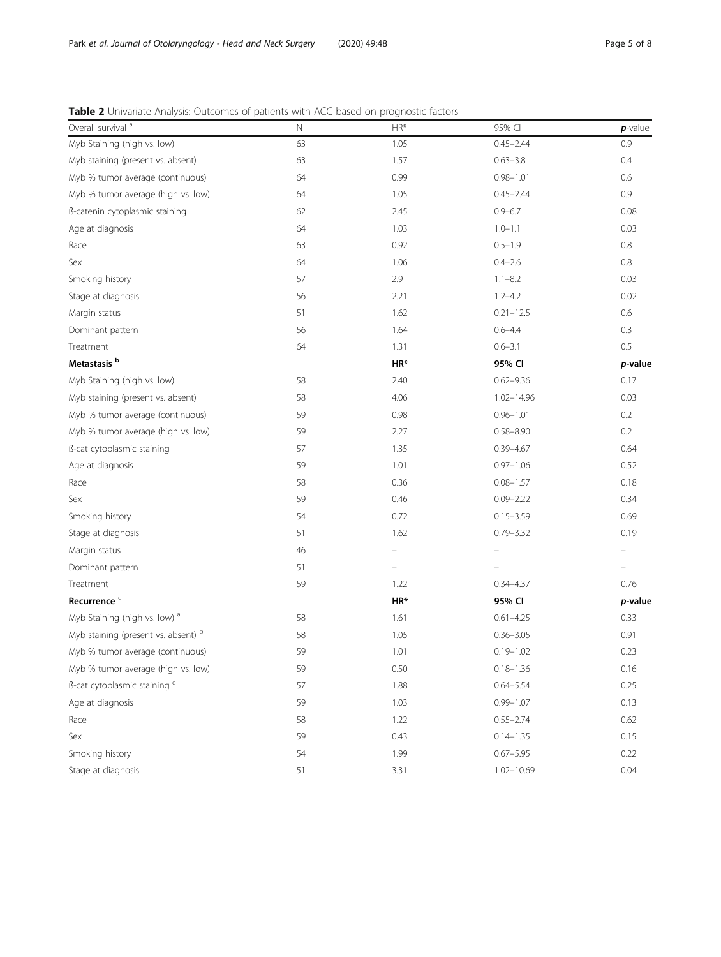# <span id="page-4-0"></span>Table 2 Univariate Analysis: Outcomes of patients with ACC based on prognostic factors

| Overall survival <sup>a</sup>            | N  | $HR*$                    | 95% CI         | $p$ -value |
|------------------------------------------|----|--------------------------|----------------|------------|
| Myb Staining (high vs. low)              | 63 | 1.05                     | $0.45 - 2.44$  | 0.9        |
| Myb staining (present vs. absent)        | 63 | 1.57                     | $0.63 - 3.8$   | 0.4        |
| Myb % tumor average (continuous)         | 64 | 0.99                     | $0.98 - 1.01$  | 0.6        |
| Myb % tumor average (high vs. low)       | 64 | 1.05                     | $0.45 - 2.44$  | 0.9        |
| ß-catenin cytoplasmic staining           | 62 | 2.45                     | $0.9 - 6.7$    | 0.08       |
| Age at diagnosis                         | 64 | 1.03                     | $1.0 - 1.1$    | 0.03       |
| Race                                     | 63 | 0.92                     | $0.5 - 1.9$    | 0.8        |
| Sex                                      | 64 | 1.06                     | $0.4 - 2.6$    | 0.8        |
| Smoking history                          | 57 | 2.9                      | $1.1 - 8.2$    | 0.03       |
| Stage at diagnosis                       | 56 | 2.21                     | $1.2 - 4.2$    | 0.02       |
| Margin status                            | 51 | 1.62                     | $0.21 - 12.5$  | 0.6        |
| Dominant pattern                         | 56 | 1.64                     | $0.6 - 4.4$    | 0.3        |
| Treatment                                | 64 | 1.31                     | $0.6 - 3.1$    | $0.5\,$    |
| Metastasis <sup>b</sup>                  |    | $HR*$                    | 95% CI         | p-value    |
| Myb Staining (high vs. low)              | 58 | 2.40                     | $0.62 - 9.36$  | 0.17       |
| Myb staining (present vs. absent)        | 58 | 4.06                     | $1.02 - 14.96$ | 0.03       |
| Myb % tumor average (continuous)         | 59 | 0.98                     | $0.96 - 1.01$  | 0.2        |
| Myb % tumor average (high vs. low)       | 59 | 2.27                     | $0.58 - 8.90$  | 0.2        |
| ß-cat cytoplasmic staining               | 57 | 1.35                     | $0.39 - 4.67$  | 0.64       |
| Age at diagnosis                         | 59 | 1.01                     | $0.97 - 1.06$  | 0.52       |
| Race                                     | 58 | 0.36                     | $0.08 - 1.57$  | 0.18       |
| Sex                                      | 59 | 0.46                     | $0.09 - 2.22$  | 0.34       |
| Smoking history                          | 54 | 0.72                     | $0.15 - 3.59$  | 0.69       |
| Stage at diagnosis                       | 51 | 1.62                     | $0.79 - 3.32$  | 0.19       |
| Margin status                            | 46 | $\overline{\phantom{0}}$ | -              |            |
| Dominant pattern                         | 51 |                          |                |            |
| Treatment                                | 59 | 1.22                     | $0.34 - 4.37$  | 0.76       |
| Recurrence <sup>c</sup>                  |    | HR*                      | 95% CI         | p-value    |
| Myb Staining (high vs. low) <sup>a</sup> | 58 | 1.61                     | $0.61 - 4.25$  | 0.33       |
| Myb staining (present vs. absent) b      | 58 | 1.05                     | $0.36 - 3.05$  | 0.91       |
| Myb % tumor average (continuous)         | 59 | 1.01                     | $0.19 - 1.02$  | 0.23       |
| Myb % tumor average (high vs. low)       | 59 | 0.50                     | $0.18 - 1.36$  | 0.16       |
| ß-cat cytoplasmic staining c             | 57 | 1.88                     | $0.64 - 5.54$  | 0.25       |
| Age at diagnosis                         | 59 | 1.03                     | $0.99 - 1.07$  | 0.13       |
| Race                                     | 58 | 1.22                     | $0.55 - 2.74$  | 0.62       |
| Sex                                      | 59 | 0.43                     | $0.14 - 1.35$  | 0.15       |
| Smoking history                          | 54 | 1.99                     | $0.67 - 5.95$  | 0.22       |
| Stage at diagnosis                       | 51 | 3.31                     | $1.02 - 10.69$ | 0.04       |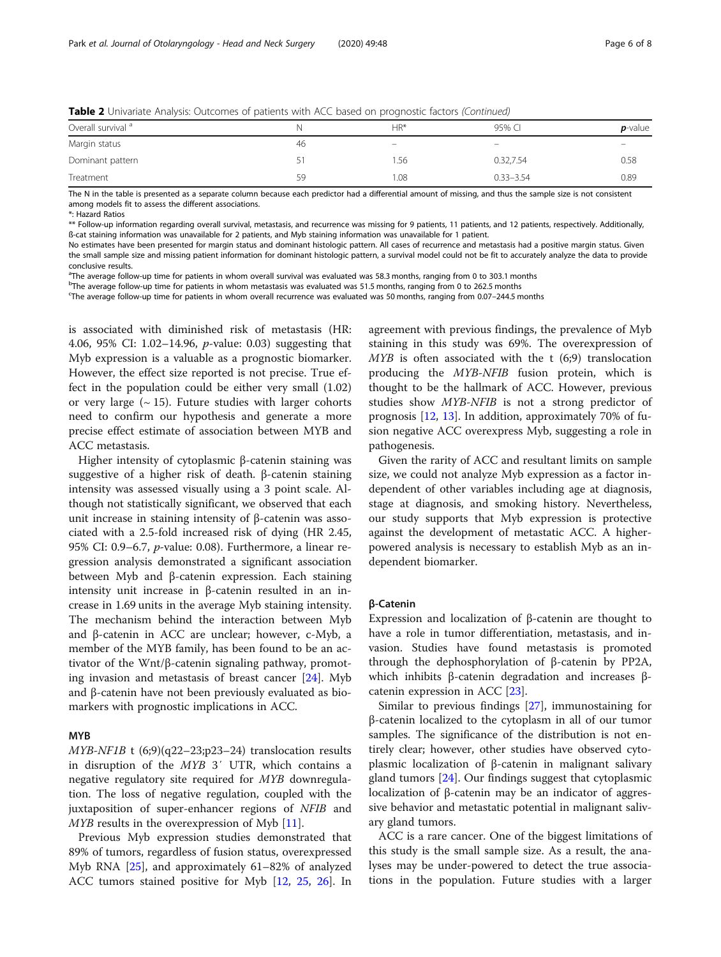|  |  | Table 2 Univariate Analysis: Outcomes of patients with ACC based on prognostic factors (Continued) |  |
|--|--|----------------------------------------------------------------------------------------------------|--|
|  |  |                                                                                                    |  |

| Overall survival <sup>a</sup> |    | HR*  | 95% CI        | $p$ -value |
|-------------------------------|----|------|---------------|------------|
| Margin status                 | 46 | $-$  | -             |            |
| Dominant pattern              |    | 1.56 | 0.32.7.54     | 0.58       |
| Treatment                     | 59 | 1.08 | $0.33 - 3.54$ | 0.89       |

The N in the table is presented as a separate column because each predictor had a differential amount of missing, and thus the sample size is not consistent among models fit to assess the different associations.

\*: Hazard Ratios

\*\* Follow-up information regarding overall survival, metastasis, and recurrence was missing for 9 patients, 11 patients, and 12 patients, respectively. Additionally, ß-cat staining information was unavailable for 2 patients, and Myb staining information was unavailable for 1 patient.

No estimates have been presented for margin status and dominant histologic pattern. All cases of recurrence and metastasis had a positive margin status. Given the small sample size and missing patient information for dominant histologic pattern, a survival model could not be fit to accurately analyze the data to provide conclusive results.

<sup>a</sup>The average follow-up time for patients in whom overall survival was evaluated was 58.3 months, ranging from 0 to 303.1 months

b The average follow-up time for patients in whom metastasis was evaluated was 51.5 months, ranging from 0 to 262.5 months

c The average follow-up time for patients in whom overall recurrence was evaluated was 50 months, ranging from 0.07–244.5 months

is associated with diminished risk of metastasis (HR: 4.06, 95% CI: 1.02–14.96, p-value: 0.03) suggesting that Myb expression is a valuable as a prognostic biomarker. However, the effect size reported is not precise. True effect in the population could be either very small (1.02) or very large  $({\sim} 15)$ . Future studies with larger cohorts need to confirm our hypothesis and generate a more precise effect estimate of association between MYB and ACC metastasis.

Higher intensity of cytoplasmic β-catenin staining was suggestive of a higher risk of death. β-catenin staining intensity was assessed visually using a 3 point scale. Although not statistically significant, we observed that each unit increase in staining intensity of β-catenin was associated with a 2.5-fold increased risk of dying (HR 2.45, 95% CI: 0.9–6.7, p-value: 0.08). Furthermore, a linear regression analysis demonstrated a significant association between Myb and β-catenin expression. Each staining intensity unit increase in β-catenin resulted in an increase in 1.69 units in the average Myb staining intensity. The mechanism behind the interaction between Myb and β-catenin in ACC are unclear; however, c-Myb, a member of the MYB family, has been found to be an activator of the Wnt/β-catenin signaling pathway, promoting invasion and metastasis of breast cancer [\[24](#page-7-0)]. Myb and β-catenin have not been previously evaluated as biomarkers with prognostic implications in ACC.

#### MYB

MYB-NF1B t (6;9)(q22–23;p23–24) translocation results in disruption of the MYB 3′ UTR, which contains a negative regulatory site required for MYB downregulation. The loss of negative regulation, coupled with the juxtaposition of super-enhancer regions of NFIB and MYB results in the overexpression of Myb [\[11\]](#page-6-0).

Previous Myb expression studies demonstrated that 89% of tumors, regardless of fusion status, overexpressed Myb RNA [[25\]](#page-7-0), and approximately 61–82% of analyzed ACC tumors stained positive for Myb [\[12](#page-6-0), [25](#page-7-0), [26\]](#page-7-0). In agreement with previous findings, the prevalence of Myb staining in this study was 69%. The overexpression of  $MYB$  is often associated with the t  $(6;9)$  translocation producing the MYB-NFIB fusion protein, which is thought to be the hallmark of ACC. However, previous studies show MYB-NFIB is not a strong predictor of prognosis [\[12](#page-6-0), [13](#page-6-0)]. In addition, approximately 70% of fusion negative ACC overexpress Myb, suggesting a role in pathogenesis.

Given the rarity of ACC and resultant limits on sample size, we could not analyze Myb expression as a factor independent of other variables including age at diagnosis, stage at diagnosis, and smoking history. Nevertheless, our study supports that Myb expression is protective against the development of metastatic ACC. A higherpowered analysis is necessary to establish Myb as an independent biomarker.

## β-Catenin

Expression and localization of β-catenin are thought to have a role in tumor differentiation, metastasis, and invasion. Studies have found metastasis is promoted through the dephosphorylation of β-catenin by PP2A, which inhibits β-catenin degradation and increases βcatenin expression in ACC [[23\]](#page-7-0).

Similar to previous findings [[27\]](#page-7-0), immunostaining for β-catenin localized to the cytoplasm in all of our tumor samples. The significance of the distribution is not entirely clear; however, other studies have observed cytoplasmic localization of β-catenin in malignant salivary gland tumors [\[24](#page-7-0)]. Our findings suggest that cytoplasmic localization of β-catenin may be an indicator of aggressive behavior and metastatic potential in malignant salivary gland tumors.

ACC is a rare cancer. One of the biggest limitations of this study is the small sample size. As a result, the analyses may be under-powered to detect the true associations in the population. Future studies with a larger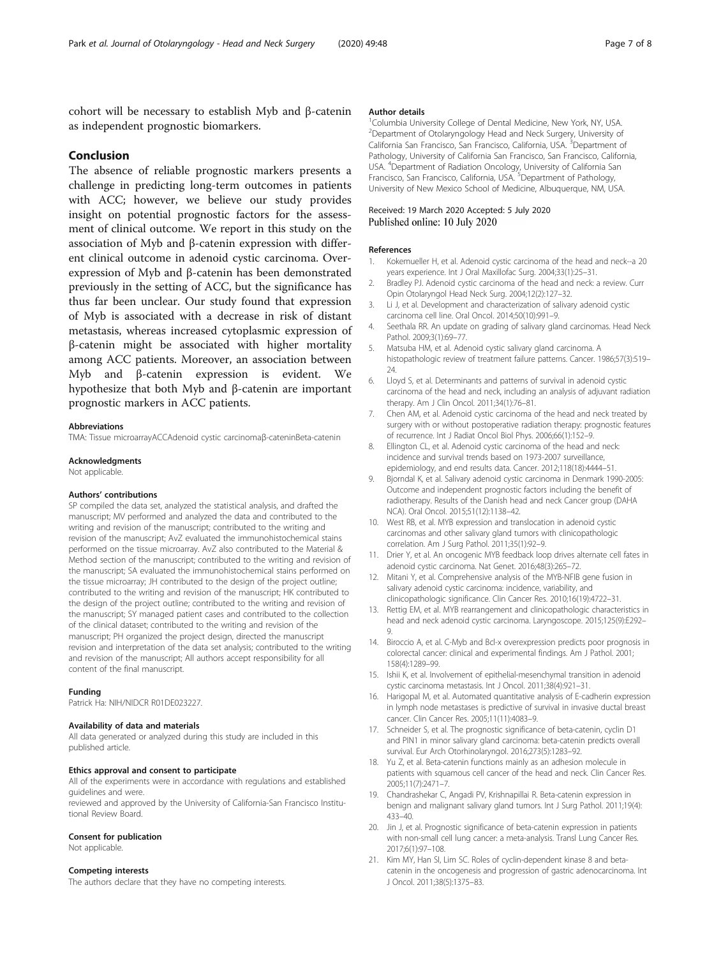<span id="page-6-0"></span>cohort will be necessary to establish Myb and β-catenin as independent prognostic biomarkers.

## Conclusion

The absence of reliable prognostic markers presents a challenge in predicting long-term outcomes in patients with ACC; however, we believe our study provides insight on potential prognostic factors for the assessment of clinical outcome. We report in this study on the association of Myb and β-catenin expression with different clinical outcome in adenoid cystic carcinoma. Overexpression of Myb and β-catenin has been demonstrated previously in the setting of ACC, but the significance has thus far been unclear. Our study found that expression of Myb is associated with a decrease in risk of distant metastasis, whereas increased cytoplasmic expression of β-catenin might be associated with higher mortality among ACC patients. Moreover, an association between Myb and β-catenin expression is evident. We hypothesize that both Myb and β-catenin are important prognostic markers in ACC patients.

#### Abbreviations

TMA: Tissue microarrayACCAdenoid cystic carcinomaβ-cateninBeta-catenin

## Acknowledgments

Not applicable.

## Authors' contributions

SP compiled the data set, analyzed the statistical analysis, and drafted the manuscript; MV performed and analyzed the data and contributed to the writing and revision of the manuscript; contributed to the writing and revision of the manuscript; AvZ evaluated the immunohistochemical stains performed on the tissue microarray. AvZ also contributed to the Material & Method section of the manuscript; contributed to the writing and revision of the manuscript; SA evaluated the immunohistochemical stains performed on the tissue microarray; JH contributed to the design of the project outline; contributed to the writing and revision of the manuscript; HK contributed to the design of the project outline; contributed to the writing and revision of the manuscript; SY managed patient cases and contributed to the collection of the clinical dataset; contributed to the writing and revision of the manuscript; PH organized the project design, directed the manuscript revision and interpretation of the data set analysis; contributed to the writing and revision of the manuscript; All authors accept responsibility for all content of the final manuscript.

#### Funding

Patrick Ha: NIH/NIDCR R01DF023227.

## Availability of data and materials

All data generated or analyzed during this study are included in this published article.

#### Ethics approval and consent to participate

All of the experiments were in accordance with regulations and established guidelines and were.

reviewed and approved by the University of California-San Francisco Institutional Review Board.

#### Consent for publication

Not applicable.

### Competing interests

The authors declare that they have no competing interests.

#### Author details

<sup>1</sup>Columbia University College of Dental Medicine, New York, NY, USA <sup>2</sup>Department of Otolaryngology Head and Neck Surgery, University of California San Francisco, San Francisco, California, USA. <sup>3</sup>Department of Pathology, University of California San Francisco, San Francisco, California, USA. <sup>4</sup> Department of Radiation Oncology, University of California San Francisco, San Francisco, California, USA. <sup>5</sup>Department of Pathology, University of New Mexico School of Medicine, Albuquerque, NM, USA.

## Received: 19 March 2020 Accepted: 5 July 2020 Published online: 10 July 2020

#### References

- 1. Kokemueller H, et al. Adenoid cystic carcinoma of the head and neck--a 20 years experience. Int J Oral Maxillofac Surg. 2004;33(1):25–31.
- 2. Bradley PJ. Adenoid cystic carcinoma of the head and neck: a review. Curr Opin Otolaryngol Head Neck Surg. 2004;12(2):127–32.
- 3. Li J, et al. Development and characterization of salivary adenoid cystic carcinoma cell line. Oral Oncol. 2014;50(10):991–9.
- 4. Seethala RR. An update on grading of salivary gland carcinomas. Head Neck Pathol. 2009;3(1):69–77.
- 5. Matsuba HM, et al. Adenoid cystic salivary gland carcinoma. A histopathologic review of treatment failure patterns. Cancer. 1986;57(3):519– 24.
- 6. Lloyd S, et al. Determinants and patterns of survival in adenoid cystic carcinoma of the head and neck, including an analysis of adjuvant radiation therapy. Am J Clin Oncol. 2011;34(1):76–81.
- 7. Chen AM, et al. Adenoid cystic carcinoma of the head and neck treated by surgery with or without postoperative radiation therapy: prognostic features of recurrence. Int J Radiat Oncol Biol Phys. 2006;66(1):152–9.
- 8. Ellington CL, et al. Adenoid cystic carcinoma of the head and neck: incidence and survival trends based on 1973-2007 surveillance, epidemiology, and end results data. Cancer. 2012;118(18):4444–51.
- 9. Bjorndal K, et al. Salivary adenoid cystic carcinoma in Denmark 1990-2005: Outcome and independent prognostic factors including the benefit of radiotherapy. Results of the Danish head and neck Cancer group (DAHA NCA). Oral Oncol. 2015;51(12):1138–42.
- 10. West RB, et al. MYB expression and translocation in adenoid cystic carcinomas and other salivary gland tumors with clinicopathologic correlation. Am J Surg Pathol. 2011;35(1):92–9.
- 11. Drier Y, et al. An oncogenic MYB feedback loop drives alternate cell fates in adenoid cystic carcinoma. Nat Genet. 2016;48(3):265–72.
- 12. Mitani Y, et al. Comprehensive analysis of the MYB-NFIB gene fusion in salivary adenoid cystic carcinoma: incidence, variability, and clinicopathologic significance. Clin Cancer Res. 2010;16(19):4722–31.
- 13. Rettig EM, et al. MYB rearrangement and clinicopathologic characteristics in head and neck adenoid cystic carcinoma. Laryngoscope. 2015;125(9):E292– 9.
- 14. Biroccio A, et al. C-Myb and Bcl-x overexpression predicts poor prognosis in colorectal cancer: clinical and experimental findings. Am J Pathol. 2001; 158(4):1289–99.
- 15. Ishii K, et al. Involvement of epithelial-mesenchymal transition in adenoid cystic carcinoma metastasis. Int J Oncol. 2011;38(4):921–31.
- 16. Harigopal M, et al. Automated quantitative analysis of E-cadherin expression in lymph node metastases is predictive of survival in invasive ductal breast cancer. Clin Cancer Res. 2005;11(11):4083–9.
- 17. Schneider S, et al. The prognostic significance of beta-catenin, cyclin D1 and PIN1 in minor salivary gland carcinoma: beta-catenin predicts overall survival. Eur Arch Otorhinolaryngol. 2016;273(5):1283–92.
- 18. Yu Z, et al. Beta-catenin functions mainly as an adhesion molecule in patients with squamous cell cancer of the head and neck. Clin Cancer Res. 2005;11(7):2471–7.
- 19. Chandrashekar C, Angadi PV, Krishnapillai R. Beta-catenin expression in benign and malignant salivary gland tumors. Int J Surg Pathol. 2011;19(4): 433–40.
- 20. Jin J, et al. Prognostic significance of beta-catenin expression in patients with non-small cell lung cancer: a meta-analysis. Transl Lung Cancer Res. 2017;6(1):97–108.
- 21. Kim MY, Han SI, Lim SC. Roles of cyclin-dependent kinase 8 and betacatenin in the oncogenesis and progression of gastric adenocarcinoma. Int J Oncol. 2011;38(5):1375–83.